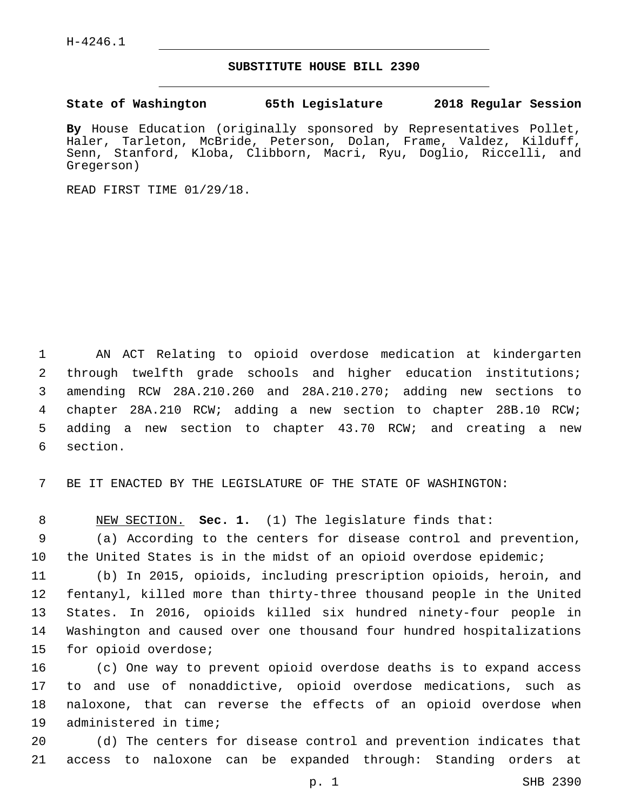## **SUBSTITUTE HOUSE BILL 2390**

**State of Washington 65th Legislature 2018 Regular Session**

**By** House Education (originally sponsored by Representatives Pollet, Haler, Tarleton, McBride, Peterson, Dolan, Frame, Valdez, Kilduff, Senn, Stanford, Kloba, Clibborn, Macri, Ryu, Doglio, Riccelli, and Gregerson)

READ FIRST TIME 01/29/18.

 AN ACT Relating to opioid overdose medication at kindergarten through twelfth grade schools and higher education institutions; amending RCW 28A.210.260 and 28A.210.270; adding new sections to chapter 28A.210 RCW; adding a new section to chapter 28B.10 RCW; adding a new section to chapter 43.70 RCW; and creating a new 6 section.

7 BE IT ENACTED BY THE LEGISLATURE OF THE STATE OF WASHINGTON:

8 NEW SECTION. **Sec. 1.** (1) The legislature finds that:

9 (a) According to the centers for disease control and prevention, 10 the United States is in the midst of an opioid overdose epidemic;

 (b) In 2015, opioids, including prescription opioids, heroin, and fentanyl, killed more than thirty-three thousand people in the United States. In 2016, opioids killed six hundred ninety-four people in Washington and caused over one thousand four hundred hospitalizations 15 for opioid overdose;

 (c) One way to prevent opioid overdose deaths is to expand access to and use of nonaddictive, opioid overdose medications, such as naloxone, that can reverse the effects of an opioid overdose when 19 administered in time;

20 (d) The centers for disease control and prevention indicates that 21 access to naloxone can be expanded through: Standing orders at

p. 1 SHB 2390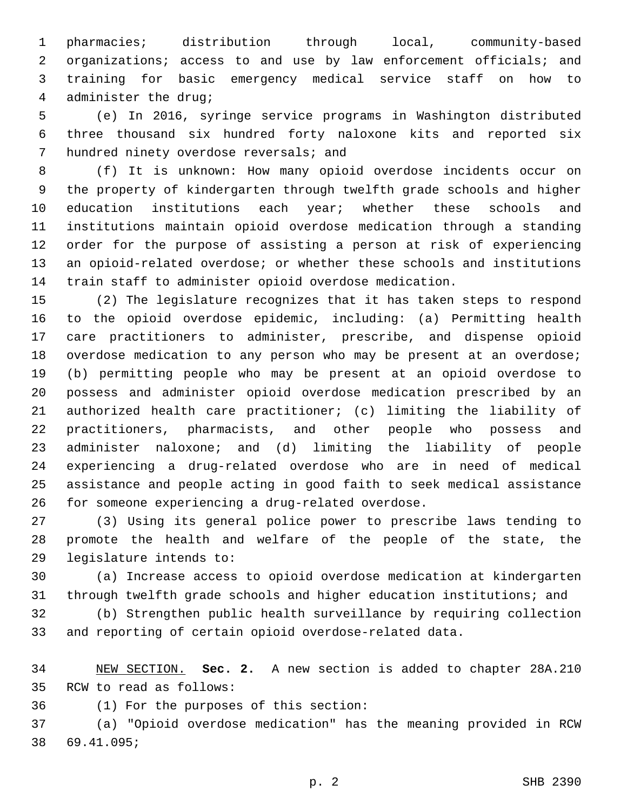pharmacies; distribution through local, community-based 2 organizations; access to and use by law enforcement officials; and training for basic emergency medical service staff on how to administer the drug;4

 (e) In 2016, syringe service programs in Washington distributed three thousand six hundred forty naloxone kits and reported six 7 hundred ninety overdose reversals; and

 (f) It is unknown: How many opioid overdose incidents occur on the property of kindergarten through twelfth grade schools and higher 10 education institutions each year; whether these schools and institutions maintain opioid overdose medication through a standing order for the purpose of assisting a person at risk of experiencing an opioid-related overdose; or whether these schools and institutions train staff to administer opioid overdose medication.

 (2) The legislature recognizes that it has taken steps to respond to the opioid overdose epidemic, including: (a) Permitting health care practitioners to administer, prescribe, and dispense opioid overdose medication to any person who may be present at an overdose; (b) permitting people who may be present at an opioid overdose to possess and administer opioid overdose medication prescribed by an authorized health care practitioner; (c) limiting the liability of practitioners, pharmacists, and other people who possess and administer naloxone; and (d) limiting the liability of people experiencing a drug-related overdose who are in need of medical assistance and people acting in good faith to seek medical assistance for someone experiencing a drug-related overdose.26

 (3) Using its general police power to prescribe laws tending to promote the health and welfare of the people of the state, the 29 legislature intends to:

 (a) Increase access to opioid overdose medication at kindergarten through twelfth grade schools and higher education institutions; and

 (b) Strengthen public health surveillance by requiring collection and reporting of certain opioid overdose-related data.

 NEW SECTION. **Sec. 2.** A new section is added to chapter 28A.210 35 RCW to read as follows:

(1) For the purposes of this section:36

 (a) "Opioid overdose medication" has the meaning provided in RCW 69.41.095;38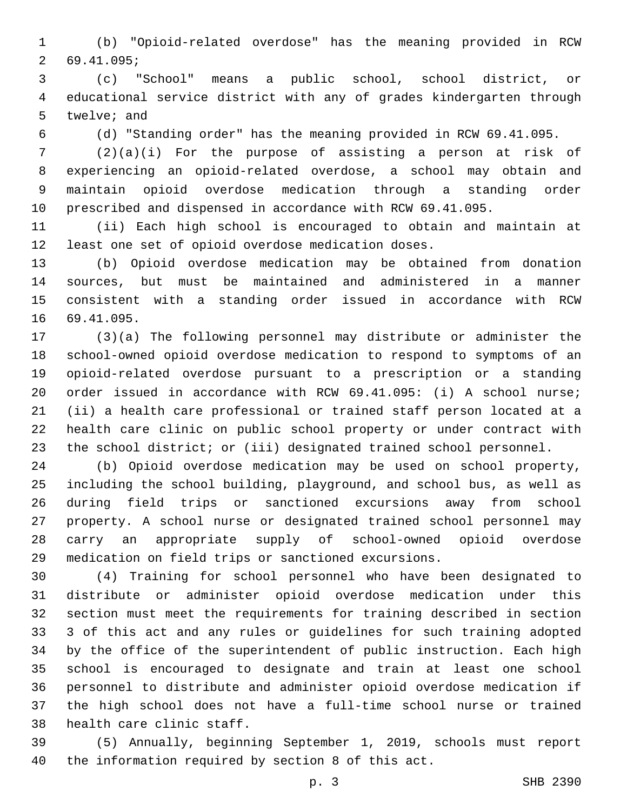(b) "Opioid-related overdose" has the meaning provided in RCW 69.41.095;2

 (c) "School" means a public school, school district, or educational service district with any of grades kindergarten through 5 twelve; and

(d) "Standing order" has the meaning provided in RCW 69.41.095.

 (2)(a)(i) For the purpose of assisting a person at risk of experiencing an opioid-related overdose, a school may obtain and maintain opioid overdose medication through a standing order prescribed and dispensed in accordance with RCW 69.41.095.

 (ii) Each high school is encouraged to obtain and maintain at least one set of opioid overdose medication doses.

 (b) Opioid overdose medication may be obtained from donation sources, but must be maintained and administered in a manner consistent with a standing order issued in accordance with RCW 16 69.41.095.

 (3)(a) The following personnel may distribute or administer the school-owned opioid overdose medication to respond to symptoms of an opioid-related overdose pursuant to a prescription or a standing order issued in accordance with RCW 69.41.095: (i) A school nurse; (ii) a health care professional or trained staff person located at a health care clinic on public school property or under contract with the school district; or (iii) designated trained school personnel.

 (b) Opioid overdose medication may be used on school property, including the school building, playground, and school bus, as well as during field trips or sanctioned excursions away from school property. A school nurse or designated trained school personnel may carry an appropriate supply of school-owned opioid overdose medication on field trips or sanctioned excursions.

 (4) Training for school personnel who have been designated to distribute or administer opioid overdose medication under this section must meet the requirements for training described in section 3 of this act and any rules or guidelines for such training adopted by the office of the superintendent of public instruction. Each high school is encouraged to designate and train at least one school personnel to distribute and administer opioid overdose medication if the high school does not have a full-time school nurse or trained 38 health care clinic staff.

 (5) Annually, beginning September 1, 2019, schools must report the information required by section 8 of this act.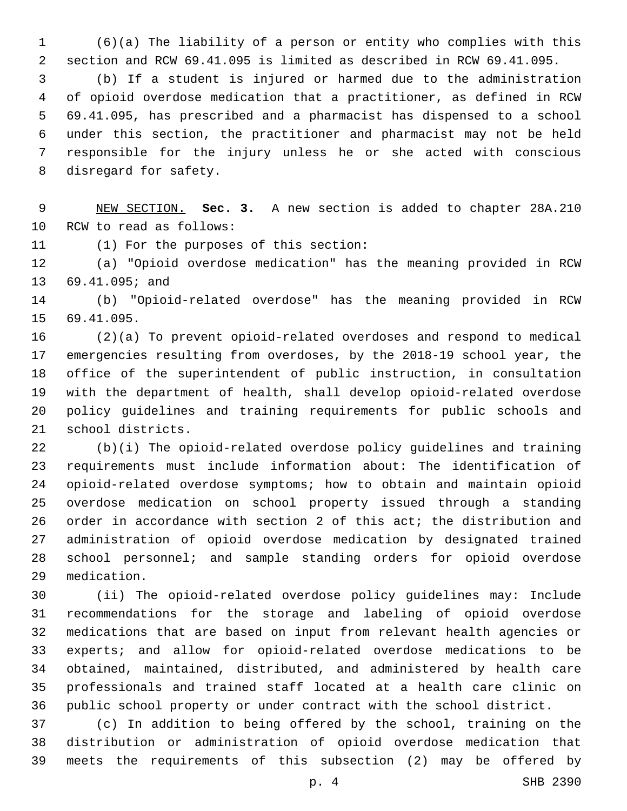(6)(a) The liability of a person or entity who complies with this section and RCW 69.41.095 is limited as described in RCW 69.41.095.

 (b) If a student is injured or harmed due to the administration of opioid overdose medication that a practitioner, as defined in RCW 69.41.095, has prescribed and a pharmacist has dispensed to a school under this section, the practitioner and pharmacist may not be held responsible for the injury unless he or she acted with conscious 8 disregard for safety.

 NEW SECTION. **Sec. 3.** A new section is added to chapter 28A.210 10 RCW to read as follows:

11 (1) For the purposes of this section:

 (a) "Opioid overdose medication" has the meaning provided in RCW 13 69.41.095; and

 (b) "Opioid-related overdose" has the meaning provided in RCW 15 69.41.095.

 (2)(a) To prevent opioid-related overdoses and respond to medical emergencies resulting from overdoses, by the 2018-19 school year, the office of the superintendent of public instruction, in consultation with the department of health, shall develop opioid-related overdose policy guidelines and training requirements for public schools and 21 school districts.

 (b)(i) The opioid-related overdose policy guidelines and training requirements must include information about: The identification of opioid-related overdose symptoms; how to obtain and maintain opioid overdose medication on school property issued through a standing order in accordance with section 2 of this act; the distribution and administration of opioid overdose medication by designated trained school personnel; and sample standing orders for opioid overdose medication.29

 (ii) The opioid-related overdose policy guidelines may: Include recommendations for the storage and labeling of opioid overdose medications that are based on input from relevant health agencies or experts; and allow for opioid-related overdose medications to be obtained, maintained, distributed, and administered by health care professionals and trained staff located at a health care clinic on public school property or under contract with the school district.

 (c) In addition to being offered by the school, training on the distribution or administration of opioid overdose medication that meets the requirements of this subsection (2) may be offered by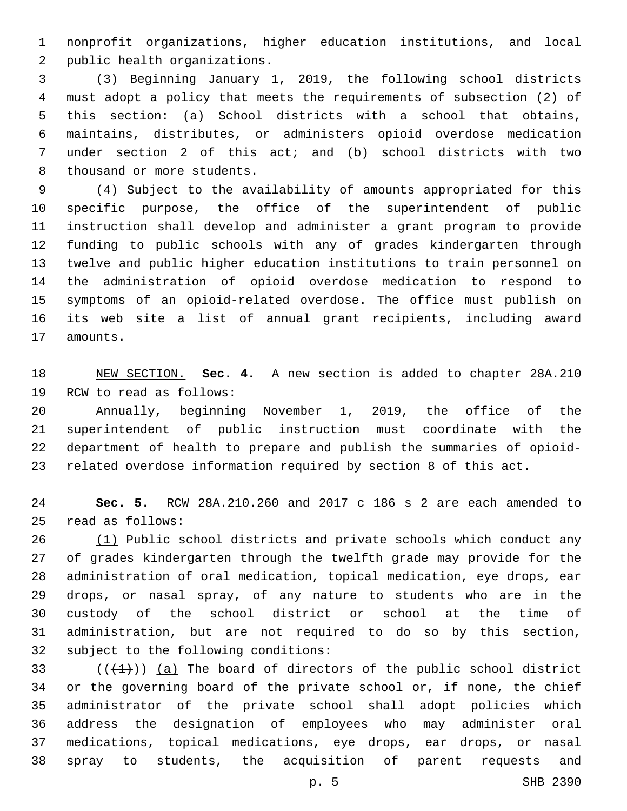nonprofit organizations, higher education institutions, and local 2 public health organizations.

 (3) Beginning January 1, 2019, the following school districts must adopt a policy that meets the requirements of subsection (2) of this section: (a) School districts with a school that obtains, maintains, distributes, or administers opioid overdose medication under section 2 of this act; and (b) school districts with two 8 thousand or more students.

 (4) Subject to the availability of amounts appropriated for this specific purpose, the office of the superintendent of public instruction shall develop and administer a grant program to provide funding to public schools with any of grades kindergarten through twelve and public higher education institutions to train personnel on the administration of opioid overdose medication to respond to symptoms of an opioid-related overdose. The office must publish on its web site a list of annual grant recipients, including award 17 amounts.

 NEW SECTION. **Sec. 4.** A new section is added to chapter 28A.210 19 RCW to read as follows:

 Annually, beginning November 1, 2019, the office of the superintendent of public instruction must coordinate with the department of health to prepare and publish the summaries of opioid-related overdose information required by section 8 of this act.

 **Sec. 5.** RCW 28A.210.260 and 2017 c 186 s 2 are each amended to read as follows:25

26 (1) Public school districts and private schools which conduct any of grades kindergarten through the twelfth grade may provide for the administration of oral medication, topical medication, eye drops, ear drops, or nasal spray, of any nature to students who are in the custody of the school district or school at the time of administration, but are not required to do so by this section, 32 subject to the following conditions:

 $(1+1)$ ) (a) The board of directors of the public school district or the governing board of the private school or, if none, the chief administrator of the private school shall adopt policies which address the designation of employees who may administer oral medications, topical medications, eye drops, ear drops, or nasal spray to students, the acquisition of parent requests and

p. 5 SHB 2390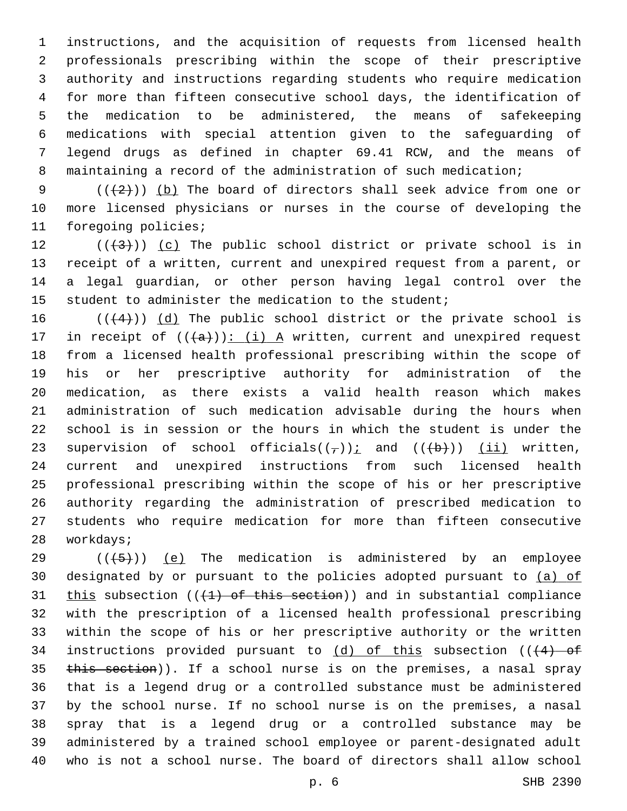instructions, and the acquisition of requests from licensed health professionals prescribing within the scope of their prescriptive authority and instructions regarding students who require medication for more than fifteen consecutive school days, the identification of the medication to be administered, the means of safekeeping medications with special attention given to the safeguarding of legend drugs as defined in chapter 69.41 RCW, and the means of maintaining a record of the administration of such medication;

9  $((+2)^{n})$  (b) The board of directors shall seek advice from one or more licensed physicians or nurses in the course of developing the 11 foregoing policies;

 $((+3+))$   $(c)$  The public school district or private school is in receipt of a written, current and unexpired request from a parent, or a legal guardian, or other person having legal control over the student to administer the medication to the student;

 (( $(4)$ )) (d) The public school district or the private school is 17 in receipt of  $((+a))$ : (i) A written, current and unexpired request from a licensed health professional prescribing within the scope of his or her prescriptive authority for administration of the medication, as there exists a valid health reason which makes administration of such medication advisable during the hours when school is in session or the hours in which the student is under the 23 supervision of school officials( $(\tau)$ ); and ( $(\overline{(b)})$ ) (ii) written, current and unexpired instructions from such licensed health professional prescribing within the scope of his or her prescriptive authority regarding the administration of prescribed medication to students who require medication for more than fifteen consecutive 28 workdays;

 $((+5+))$  (e) The medication is administered by an employee designated by or pursuant to the policies adopted pursuant to (a) of 31 this subsection  $((+1)$  of this section)) and in substantial compliance with the prescription of a licensed health professional prescribing within the scope of his or her prescriptive authority or the written 34 instructions provided pursuant to  $(d)$  of this subsection  $((4)$  of 35 this section)). If a school nurse is on the premises, a nasal spray that is a legend drug or a controlled substance must be administered by the school nurse. If no school nurse is on the premises, a nasal spray that is a legend drug or a controlled substance may be administered by a trained school employee or parent-designated adult who is not a school nurse. The board of directors shall allow school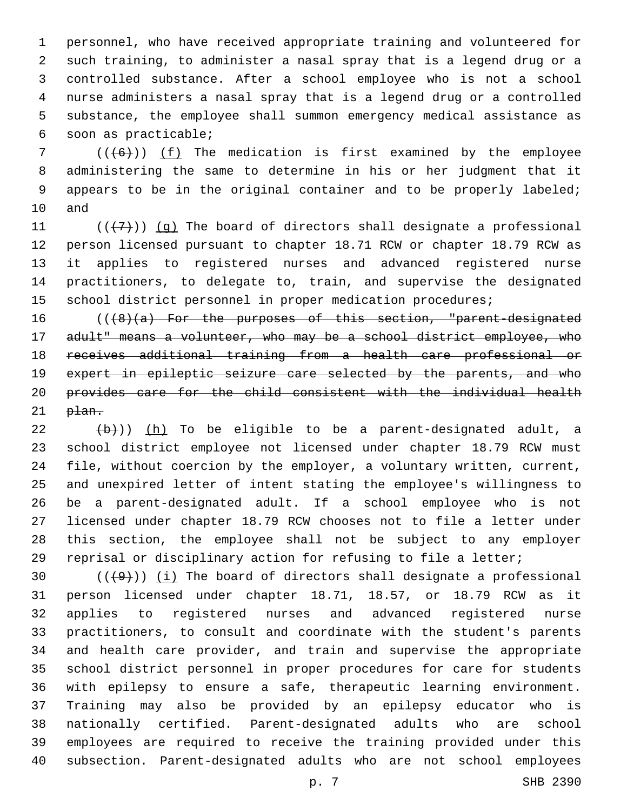personnel, who have received appropriate training and volunteered for such training, to administer a nasal spray that is a legend drug or a controlled substance. After a school employee who is not a school nurse administers a nasal spray that is a legend drug or a controlled substance, the employee shall summon emergency medical assistance as soon as practicable;6

 (( $(6)$ )) (f) The medication is first examined by the employee administering the same to determine in his or her judgment that it appears to be in the original container and to be properly labeled; 10 and

 $((+7+))$  (g) The board of directors shall designate a professional person licensed pursuant to chapter 18.71 RCW or chapter 18.79 RCW as it applies to registered nurses and advanced registered nurse practitioners, to delegate to, train, and supervise the designated school district personnel in proper medication procedures;

16 (((8)(a) For the purposes of this section, "parent-designated 17 adult" means a volunteer, who may be a school district employee, who receives additional training from a health care professional or 19 expert in epileptic seizure care selected by the parents, and who provides care for the child consistent with the individual health  $p$  $\text{tan}$ .

 (b)) (h) To be eligible to be a parent-designated adult, a school district employee not licensed under chapter 18.79 RCW must file, without coercion by the employer, a voluntary written, current, and unexpired letter of intent stating the employee's willingness to be a parent-designated adult. If a school employee who is not licensed under chapter 18.79 RCW chooses not to file a letter under this section, the employee shall not be subject to any employer reprisal or disciplinary action for refusing to file a letter;

 $((+9+))$  (i) The board of directors shall designate a professional person licensed under chapter 18.71, 18.57, or 18.79 RCW as it applies to registered nurses and advanced registered nurse practitioners, to consult and coordinate with the student's parents and health care provider, and train and supervise the appropriate school district personnel in proper procedures for care for students with epilepsy to ensure a safe, therapeutic learning environment. Training may also be provided by an epilepsy educator who is nationally certified. Parent-designated adults who are school employees are required to receive the training provided under this subsection. Parent-designated adults who are not school employees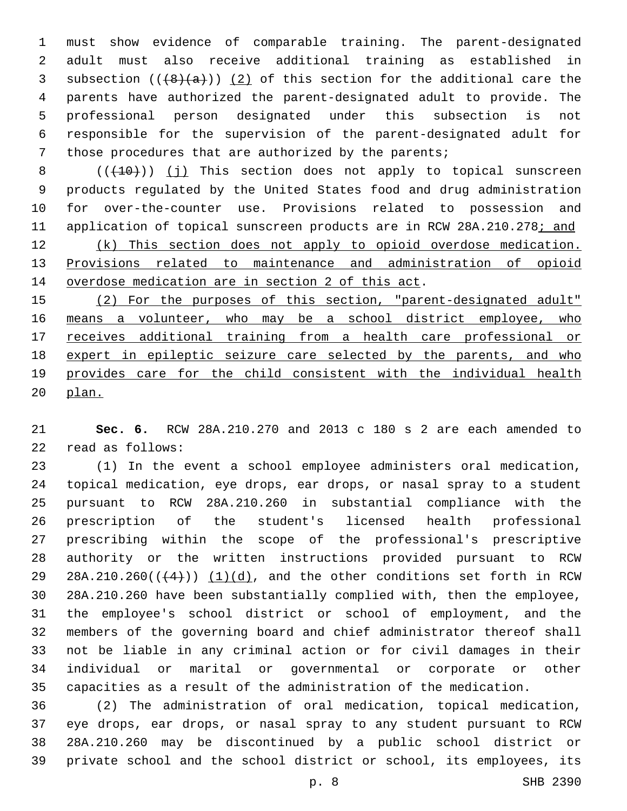must show evidence of comparable training. The parent-designated adult must also receive additional training as established in 3 subsection  $((+8)(a))$   $(2)$  of this section for the additional care the parents have authorized the parent-designated adult to provide. The professional person designated under this subsection is not responsible for the supervision of the parent-designated adult for those procedures that are authorized by the parents;

8 (( $(10)$ )) (j) This section does not apply to topical sunscreen products regulated by the United States food and drug administration for over-the-counter use. Provisions related to possession and application of topical sunscreen products are in RCW 28A.210.278; and (k) This section does not apply to opioid overdose medication. Provisions related to maintenance and administration of opioid 14 overdose medication are in section 2 of this act.

 (2) For the purposes of this section, "parent-designated adult" 16 means a volunteer, who may be a school district employee, who receives additional training from a health care professional or expert in epileptic seizure care selected by the parents, and who provides care for the child consistent with the individual health plan.

 **Sec. 6.** RCW 28A.210.270 and 2013 c 180 s 2 are each amended to read as follows:22

 (1) In the event a school employee administers oral medication, topical medication, eye drops, ear drops, or nasal spray to a student pursuant to RCW 28A.210.260 in substantial compliance with the prescription of the student's licensed health professional prescribing within the scope of the professional's prescriptive authority or the written instructions provided pursuant to RCW 29 28A.210.260 $((+4))$   $(1)(d)$ , and the other conditions set forth in RCW 28A.210.260 have been substantially complied with, then the employee, the employee's school district or school of employment, and the members of the governing board and chief administrator thereof shall not be liable in any criminal action or for civil damages in their individual or marital or governmental or corporate or other capacities as a result of the administration of the medication.

 (2) The administration of oral medication, topical medication, eye drops, ear drops, or nasal spray to any student pursuant to RCW 28A.210.260 may be discontinued by a public school district or private school and the school district or school, its employees, its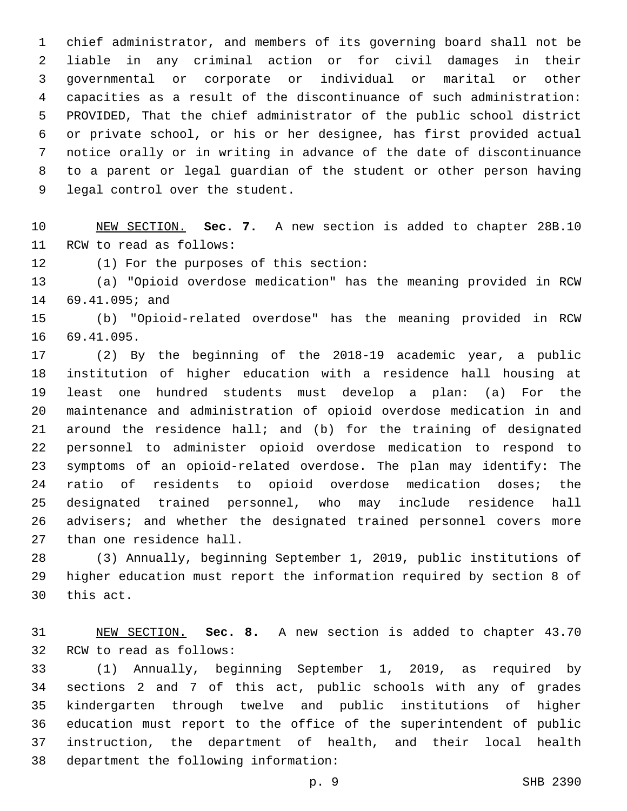chief administrator, and members of its governing board shall not be liable in any criminal action or for civil damages in their governmental or corporate or individual or marital or other capacities as a result of the discontinuance of such administration: PROVIDED, That the chief administrator of the public school district or private school, or his or her designee, has first provided actual notice orally or in writing in advance of the date of discontinuance to a parent or legal guardian of the student or other person having 9 legal control over the student.

 NEW SECTION. **Sec. 7.** A new section is added to chapter 28B.10 11 RCW to read as follows:

12 (1) For the purposes of this section:

 (a) "Opioid overdose medication" has the meaning provided in RCW 14 69.41.095; and

 (b) "Opioid-related overdose" has the meaning provided in RCW 16 69.41.095.

 (2) By the beginning of the 2018-19 academic year, a public institution of higher education with a residence hall housing at least one hundred students must develop a plan: (a) For the maintenance and administration of opioid overdose medication in and around the residence hall; and (b) for the training of designated personnel to administer opioid overdose medication to respond to symptoms of an opioid-related overdose. The plan may identify: The 24 ratio of residents to opioid overdose medication doses; the designated trained personnel, who may include residence hall 26 advisers; and whether the designated trained personnel covers more 27 than one residence hall.

 (3) Annually, beginning September 1, 2019, public institutions of higher education must report the information required by section 8 of 30 this act.

 NEW SECTION. **Sec. 8.** A new section is added to chapter 43.70 32 RCW to read as follows:

 (1) Annually, beginning September 1, 2019, as required by sections 2 and 7 of this act, public schools with any of grades kindergarten through twelve and public institutions of higher education must report to the office of the superintendent of public instruction, the department of health, and their local health 38 department the following information: